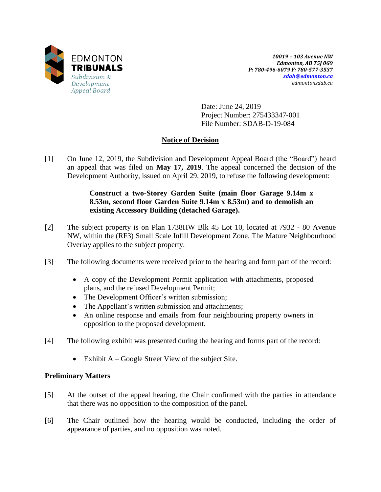

*10019 – 103 Avenue NW Edmonton, AB T5J 0G9 P: 780-496-6079 F: 780-577-3537 [sdab@edmonton.ca](mailto:sdab@edmonton.ca) edmontonsdab.ca*

Date: June 24, 2019 Project Number: 275433347-001 File Number: SDAB-D-19-084

# **Notice of Decision**

[1] On June 12, 2019, the Subdivision and Development Appeal Board (the "Board") heard an appeal that was filed on **May 17, 2019**. The appeal concerned the decision of the Development Authority, issued on April 29, 2019, to refuse the following development:

## **Construct a two-Storey Garden Suite (main floor Garage 9.14m x 8.53m, second floor Garden Suite 9.14m x 8.53m) and to demolish an existing Accessory Building (detached Garage).**

- [2] The subject property is on Plan 1738HW Blk 45 Lot 10, located at 7932 80 Avenue NW, within the (RF3) Small Scale Infill Development Zone. The Mature Neighbourhood Overlay applies to the subject property.
- [3] The following documents were received prior to the hearing and form part of the record:
	- A copy of the Development Permit application with attachments, proposed plans, and the refused Development Permit;
	- The Development Officer's written submission;
	- The Appellant's written submission and attachments;
	- An online response and emails from four neighbouring property owners in opposition to the proposed development.
- [4] The following exhibit was presented during the hearing and forms part of the record:
	- Exhibit  $A Google Street View of the subject Site.$

# **Preliminary Matters**

- [5] At the outset of the appeal hearing, the Chair confirmed with the parties in attendance that there was no opposition to the composition of the panel.
- [6] The Chair outlined how the hearing would be conducted, including the order of appearance of parties, and no opposition was noted.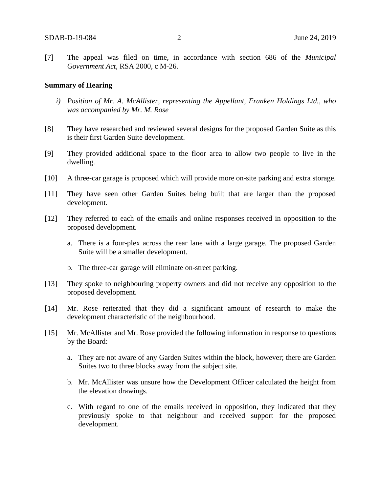[7] The appeal was filed on time, in accordance with section 686 of the *Municipal Government Act*, RSA 2000, c M-26.

#### **Summary of Hearing**

- *i) Position of Mr. A. McAllister, representing the Appellant, Franken Holdings Ltd., who was accompanied by Mr. M. Rose*
- [8] They have researched and reviewed several designs for the proposed Garden Suite as this is their first Garden Suite development.
- [9] They provided additional space to the floor area to allow two people to live in the dwelling.
- [10] A three-car garage is proposed which will provide more on-site parking and extra storage.
- [11] They have seen other Garden Suites being built that are larger than the proposed development.
- [12] They referred to each of the emails and online responses received in opposition to the proposed development.
	- a. There is a four-plex across the rear lane with a large garage. The proposed Garden Suite will be a smaller development.
	- b. The three-car garage will eliminate on-street parking.
- [13] They spoke to neighbouring property owners and did not receive any opposition to the proposed development.
- [14] Mr. Rose reiterated that they did a significant amount of research to make the development characteristic of the neighbourhood.
- [15] Mr. McAllister and Mr. Rose provided the following information in response to questions by the Board:
	- a. They are not aware of any Garden Suites within the block, however; there are Garden Suites two to three blocks away from the subject site.
	- b. Mr. McAllister was unsure how the Development Officer calculated the height from the elevation drawings.
	- c. With regard to one of the emails received in opposition, they indicated that they previously spoke to that neighbour and received support for the proposed development.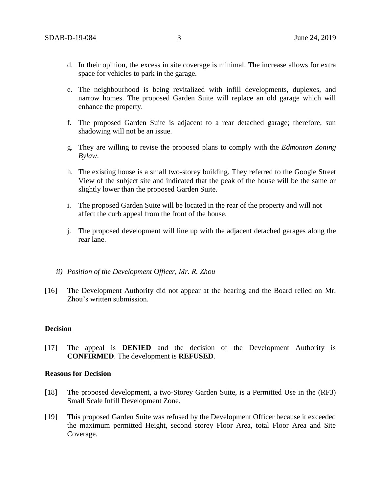- d. In their opinion, the excess in site coverage is minimal. The increase allows for extra space for vehicles to park in the garage.
- e. The neighbourhood is being revitalized with infill developments, duplexes, and narrow homes. The proposed Garden Suite will replace an old garage which will enhance the property.
- f. The proposed Garden Suite is adjacent to a rear detached garage; therefore, sun shadowing will not be an issue.
- g. They are willing to revise the proposed plans to comply with the *Edmonton Zoning Bylaw*.
- h. The existing house is a small two-storey building. They referred to the Google Street View of the subject site and indicated that the peak of the house will be the same or slightly lower than the proposed Garden Suite.
- i. The proposed Garden Suite will be located in the rear of the property and will not affect the curb appeal from the front of the house.
- j. The proposed development will line up with the adjacent detached garages along the rear lane.
- *ii) Position of the Development Officer, Mr. R. Zhou*
- [16] The Development Authority did not appear at the hearing and the Board relied on Mr. Zhou's written submission.

## **Decision**

[17] The appeal is **DENIED** and the decision of the Development Authority is **CONFIRMED**. The development is **REFUSED**.

## **Reasons for Decision**

- [18] The proposed development, a two-Storey Garden Suite, is a Permitted Use in the (RF3) Small Scale Infill Development Zone.
- [19] This proposed Garden Suite was refused by the Development Officer because it exceeded the maximum permitted Height, second storey Floor Area, total Floor Area and Site Coverage.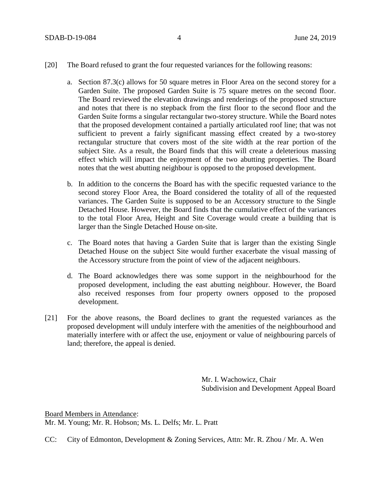- [20] The Board refused to grant the four requested variances for the following reasons:
	- a. Section 87.3(c) allows for 50 square metres in Floor Area on the second storey for a Garden Suite. The proposed Garden Suite is 75 square metres on the second floor. The Board reviewed the elevation drawings and renderings of the proposed structure and notes that there is no stepback from the first floor to the second floor and the Garden Suite forms a singular rectangular two-storey structure. While the Board notes that the proposed development contained a partially articulated roof line; that was not sufficient to prevent a fairly significant massing effect created by a two-storey rectangular structure that covers most of the site width at the rear portion of the subject Site. As a result, the Board finds that this will create a deleterious massing effect which will impact the enjoyment of the two abutting properties. The Board notes that the west abutting neighbour is opposed to the proposed development.
	- b. In addition to the concerns the Board has with the specific requested variance to the second storey Floor Area, the Board considered the totality of all of the requested variances. The Garden Suite is supposed to be an Accessory structure to the Single Detached House. However, the Board finds that the cumulative effect of the variances to the total Floor Area, Height and Site Coverage would create a building that is larger than the Single Detached House on-site.
	- c. The Board notes that having a Garden Suite that is larger than the existing Single Detached House on the subject Site would further exacerbate the visual massing of the Accessory structure from the point of view of the adjacent neighbours.
	- d. The Board acknowledges there was some support in the neighbourhood for the proposed development, including the east abutting neighbour. However, the Board also received responses from four property owners opposed to the proposed development.
- [21] For the above reasons, the Board declines to grant the requested variances as the proposed development will unduly interfere with the amenities of the neighbourhood and materially interfere with or affect the use, enjoyment or value of neighbouring parcels of land; therefore, the appeal is denied.

Mr. I. Wachowicz, Chair Subdivision and Development Appeal Board

Board Members in Attendance: Mr. M. Young; Mr. R. Hobson; Ms. L. Delfs; Mr. L. Pratt

CC: City of Edmonton, Development & Zoning Services, Attn: Mr. R. Zhou / Mr. A. Wen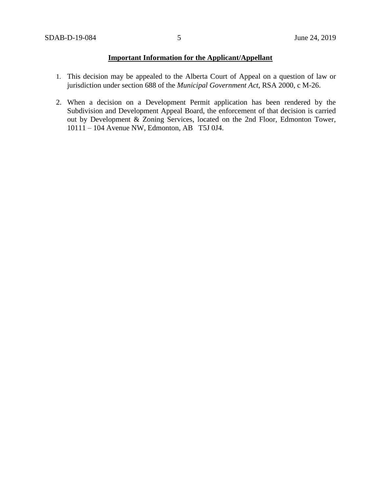## **Important Information for the Applicant/Appellant**

- 1. This decision may be appealed to the Alberta Court of Appeal on a question of law or jurisdiction under section 688 of the *Municipal Government Act*, RSA 2000, c M-26.
- 2. When a decision on a Development Permit application has been rendered by the Subdivision and Development Appeal Board, the enforcement of that decision is carried out by Development & Zoning Services, located on the 2nd Floor, Edmonton Tower, 10111 – 104 Avenue NW, Edmonton, AB T5J 0J4.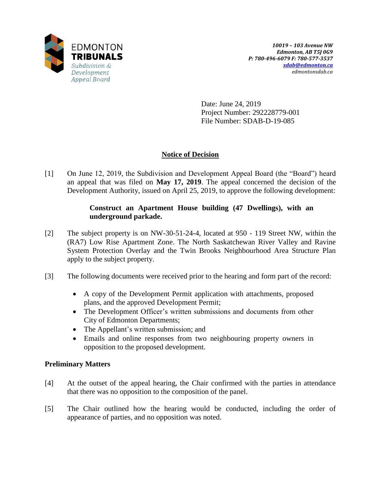

Date: June 24, 2019 Project Number: 292228779-001 File Number: SDAB-D-19-085

# **Notice of Decision**

[1] On June 12, 2019, the Subdivision and Development Appeal Board (the "Board") heard an appeal that was filed on **May 17, 2019**. The appeal concerned the decision of the Development Authority, issued on April 25, 2019, to approve the following development:

# **Construct an Apartment House building (47 Dwellings), with an underground parkade.**

- [2] The subject property is on NW-30-51-24-4, located at 950 119 Street NW, within the (RA7) Low Rise Apartment Zone. The North Saskatchewan River Valley and Ravine System Protection Overlay and the Twin Brooks Neighbourhood Area Structure Plan apply to the subject property.
- [3] The following documents were received prior to the hearing and form part of the record:
	- A copy of the Development Permit application with attachments, proposed plans, and the approved Development Permit;
	- The Development Officer's written submissions and documents from other City of Edmonton Departments;
	- The Appellant's written submission; and
	- Emails and online responses from two neighbouring property owners in opposition to the proposed development.

# **Preliminary Matters**

- [4] At the outset of the appeal hearing, the Chair confirmed with the parties in attendance that there was no opposition to the composition of the panel.
- [5] The Chair outlined how the hearing would be conducted, including the order of appearance of parties, and no opposition was noted.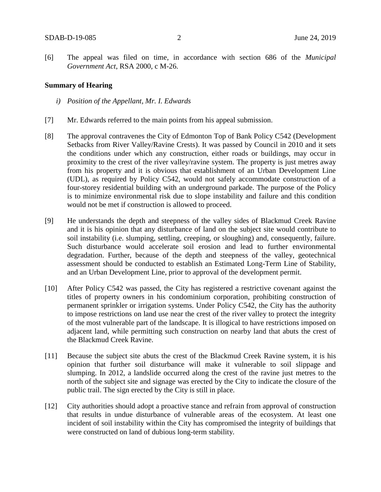[6] The appeal was filed on time, in accordance with section 686 of the *Municipal Government Act*, RSA 2000, c M-26.

#### **Summary of Hearing**

- *i) Position of the Appellant, Mr. I. Edwards*
- [7] Mr. Edwards referred to the main points from his appeal submission.
- [8] The approval contravenes the City of Edmonton Top of Bank Policy C542 (Development Setbacks from River Valley/Ravine Crests). It was passed by Council in 2010 and it sets the conditions under which any construction, either roads or buildings, may occur in proximity to the crest of the river valley/ravine system. The property is just metres away from his property and it is obvious that establishment of an Urban Development Line (UDL), as required by Policy C542, would not safely accommodate construction of a four-storey residential building with an underground parkade. The purpose of the Policy is to minimize environmental risk due to slope instability and failure and this condition would not be met if construction is allowed to proceed.
- [9] He understands the depth and steepness of the valley sides of Blackmud Creek Ravine and it is his opinion that any disturbance of land on the subject site would contribute to soil instability (i.e. slumping, settling, creeping, or sloughing) and, consequently, failure. Such disturbance would accelerate soil erosion and lead to further environmental degradation. Further, because of the depth and steepness of the valley, geotechnical assessment should be conducted to establish an Estimated Long-Term Line of Stability, and an Urban Development Line, prior to approval of the development permit.
- [10] After Policy C542 was passed, the City has registered a restrictive covenant against the titles of property owners in his condominium corporation, prohibiting construction of permanent sprinkler or irrigation systems. Under Policy C542, the City has the authority to impose restrictions on land use near the crest of the river valley to protect the integrity of the most vulnerable part of the landscape. It is illogical to have restrictions imposed on adjacent land, while permitting such construction on nearby land that abuts the crest of the Blackmud Creek Ravine.
- [11] Because the subject site abuts the crest of the Blackmud Creek Ravine system, it is his opinion that further soil disturbance will make it vulnerable to soil slippage and slumping. In 2012, a landslide occurred along the crest of the ravine just metres to the north of the subject site and signage was erected by the City to indicate the closure of the public trail. The sign erected by the City is still in place.
- [12] City authorities should adopt a proactive stance and refrain from approval of construction that results in undue disturbance of vulnerable areas of the ecosystem. At least one incident of soil instability within the City has compromised the integrity of buildings that were constructed on land of dubious long-term stability.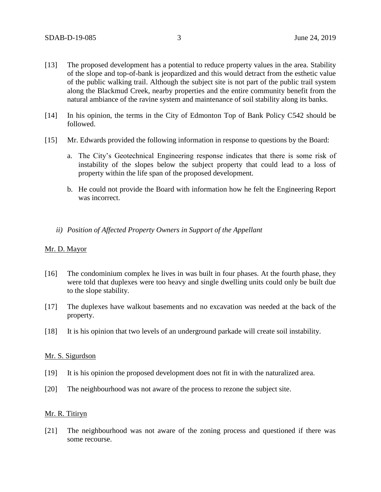- [13] The proposed development has a potential to reduce property values in the area. Stability of the slope and top-of-bank is jeopardized and this would detract from the esthetic value of the public walking trail. Although the subject site is not part of the public trail system along the Blackmud Creek, nearby properties and the entire community benefit from the natural ambiance of the ravine system and maintenance of soil stability along its banks.
- [14] In his opinion, the terms in the City of Edmonton Top of Bank Policy C542 should be followed.
- [15] Mr. Edwards provided the following information in response to questions by the Board:
	- a. The City's Geotechnical Engineering response indicates that there is some risk of instability of the slopes below the subject property that could lead to a loss of property within the life span of the proposed development.
	- b. He could not provide the Board with information how he felt the Engineering Report was incorrect.
	- *ii) Position of Affected Property Owners in Support of the Appellant*

#### Mr. D. Mayor

- [16] The condominium complex he lives in was built in four phases. At the fourth phase, they were told that duplexes were too heavy and single dwelling units could only be built due to the slope stability.
- [17] The duplexes have walkout basements and no excavation was needed at the back of the property.
- [18] It is his opinion that two levels of an underground parkade will create soil instability.

#### Mr. S. Sigurdson

- [19] It is his opinion the proposed development does not fit in with the naturalized area.
- [20] The neighbourhood was not aware of the process to rezone the subject site.

#### Mr. R. Titiryn

[21] The neighbourhood was not aware of the zoning process and questioned if there was some recourse.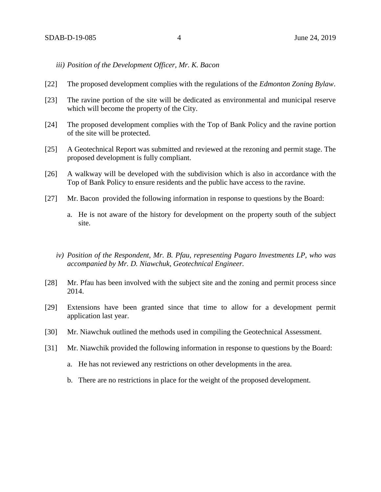*iii) Position of the Development Officer, Mr. K. Bacon* 

- [22] The proposed development complies with the regulations of the *Edmonton Zoning Bylaw*.
- [23] The ravine portion of the site will be dedicated as environmental and municipal reserve which will become the property of the City.
- [24] The proposed development complies with the Top of Bank Policy and the ravine portion of the site will be protected.
- [25] A Geotechnical Report was submitted and reviewed at the rezoning and permit stage. The proposed development is fully compliant.
- [26] A walkway will be developed with the subdivision which is also in accordance with the Top of Bank Policy to ensure residents and the public have access to the ravine.
- [27] Mr. Bacon provided the following information in response to questions by the Board:
	- a. He is not aware of the history for development on the property south of the subject site.
	- *iv) Position of the Respondent, Mr. B. Pfau, representing Pagaro Investments LP, who was accompanied by Mr. D. Niawchuk, Geotechnical Engineer.*
- [28] Mr. Pfau has been involved with the subject site and the zoning and permit process since 2014.
- [29] Extensions have been granted since that time to allow for a development permit application last year.
- [30] Mr. Niawchuk outlined the methods used in compiling the Geotechnical Assessment.
- [31] Mr. Niawchik provided the following information in response to questions by the Board:
	- a. He has not reviewed any restrictions on other developments in the area.
	- b. There are no restrictions in place for the weight of the proposed development.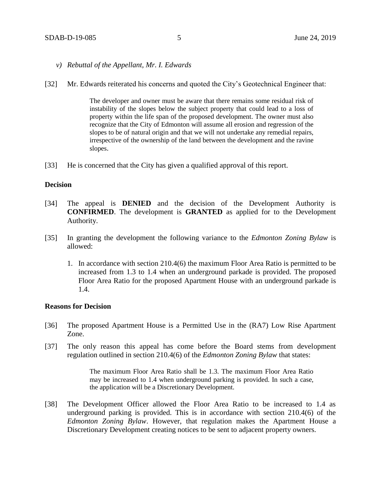- *v) Rebuttal of the Appellant, Mr. I. Edwards*
- [32] Mr. Edwards reiterated his concerns and quoted the City's Geotechnical Engineer that:

The developer and owner must be aware that there remains some residual risk of instability of the slopes below the subject property that could lead to a loss of property within the life span of the proposed development. The owner must also recognize that the City of Edmonton will assume all erosion and regression of the slopes to be of natural origin and that we will not undertake any remedial repairs, irrespective of the ownership of the land between the development and the ravine slopes.

[33] He is concerned that the City has given a qualified approval of this report.

### **Decision**

- [34] The appeal is **DENIED** and the decision of the Development Authority is **CONFIRMED**. The development is **GRANTED** as applied for to the Development Authority.
- [35] In granting the development the following variance to the *Edmonton Zoning Bylaw* is allowed:
	- 1. In accordance with section 210.4(6) the maximum Floor Area Ratio is permitted to be increased from 1.3 to 1.4 when an underground parkade is provided. The proposed Floor Area Ratio for the proposed Apartment House with an underground parkade is 1.4.

#### **Reasons for Decision**

- [36] The proposed Apartment House is a Permitted Use in the (RA7) Low Rise Apartment Zone.
- [37] The only reason this appeal has come before the Board stems from development regulation outlined in section 210.4(6) of the *Edmonton Zoning Bylaw* that states:

The maximum Floor Area Ratio shall be 1.3. The maximum Floor Area Ratio may be increased to 1.4 when underground parking is provided. In such a case, the application will be a Discretionary Development.

[38] The Development Officer allowed the Floor Area Ratio to be increased to 1.4 as underground parking is provided. This is in accordance with section 210.4(6) of the *Edmonton Zoning Bylaw*. However, that regulation makes the Apartment House a Discretionary Development creating notices to be sent to adjacent property owners.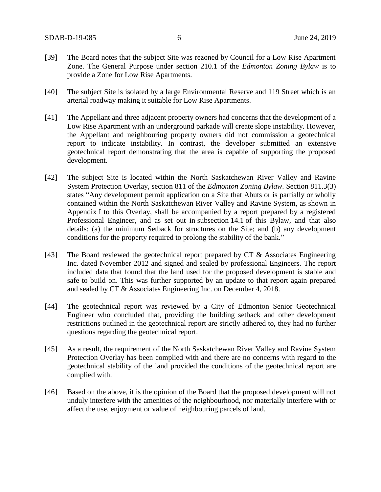- [39] The Board notes that the subject Site was rezoned by Council for a Low Rise Apartment Zone. The General Purpose under section 210.1 of the *Edmonton Zoning Bylaw* is to provide a Zone for Low Rise Apartments.
- [40] The subject Site is isolated by a large Environmental Reserve and 119 Street which is an arterial roadway making it suitable for Low Rise Apartments.
- [41] The Appellant and three adjacent property owners had concerns that the development of a Low Rise Apartment with an underground parkade will create slope instability. However, the Appellant and neighbouring property owners did not commission a geotechnical report to indicate instability. In contrast, the developer submitted an extensive geotechnical report demonstrating that the area is capable of supporting the proposed development.
- [42] The subject Site is located within the North Saskatchewan River Valley and Ravine System Protection Overlay, section 811 of the *Edmonton Zoning Bylaw*. Section 811.3(3) states "Any development permit application on a Site that Abuts or is partially or wholly contained within the North Saskatchewan River Valley and Ravine System, as shown in Appendix I to this Overlay, shall be accompanied by a report prepared by a registered Professional Engineer, and as set out in subsection 14.1 of this Bylaw, and that also details: (a) the minimum Setback for structures on the Site; and (b) any development conditions for the property required to prolong the stability of the bank."
- [43] The Board reviewed the geotechnical report prepared by CT & Associates Engineering Inc. dated November 2012 and signed and sealed by professional Engineers. The report included data that found that the land used for the proposed development is stable and safe to build on. This was further supported by an update to that report again prepared and sealed by CT & Associates Engineering Inc. on December 4, 2018.
- [44] The geotechnical report was reviewed by a City of Edmonton Senior Geotechnical Engineer who concluded that, providing the building setback and other development restrictions outlined in the geotechnical report are strictly adhered to, they had no further questions regarding the geotechnical report.
- [45] As a result, the requirement of the North Saskatchewan River Valley and Ravine System Protection Overlay has been complied with and there are no concerns with regard to the geotechnical stability of the land provided the conditions of the geotechnical report are complied with.
- [46] Based on the above, it is the opinion of the Board that the proposed development will not unduly interfere with the amenities of the neighbourhood, nor materially interfere with or affect the use, enjoyment or value of neighbouring parcels of land.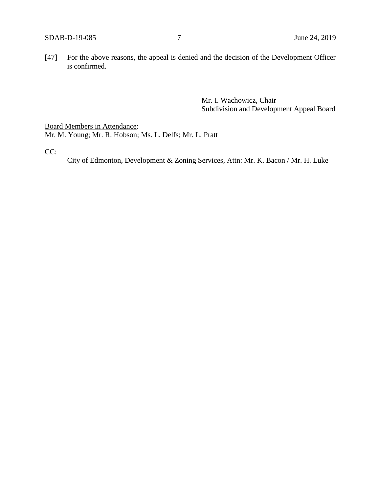[47] For the above reasons, the appeal is denied and the decision of the Development Officer is confirmed.

> Mr. I. Wachowicz, Chair Subdivision and Development Appeal Board

Board Members in Attendance: Mr. M. Young; Mr. R. Hobson; Ms. L. Delfs; Mr. L. Pratt

CC:

City of Edmonton, Development & Zoning Services, Attn: Mr. K. Bacon / Mr. H. Luke